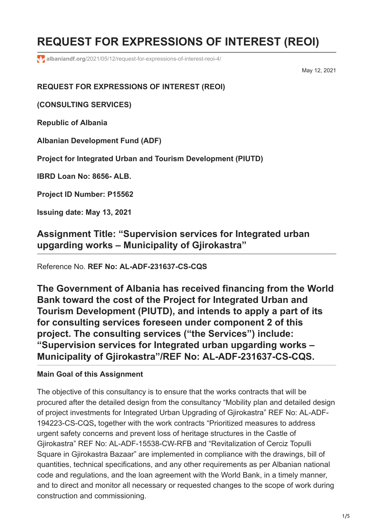# **REQUEST FOR EXPRESSIONS OF INTEREST (REOI)**

**albaniandf.org**[/2021/05/12/request-for-expressions-of-interest-reoi-4/](https://www.albaniandf.org/2021/05/12/request-for-expressions-of-interest-reoi-4/)

May 12, 2021

**REQUEST FOR EXPRESSIONS OF INTEREST (REOI)**

**(CONSULTING SERVICES)**

**Republic of Albania**

**Albanian Development Fund (ADF)**

**Project for Integrated Urban and Tourism Development (PIUTD)**

**IBRD Loan No: 8656- ALB.**

**Project ID Number: P15562**

**Issuing date: May 13, 2021**

**Assignment Title: "Supervision services for Integrated urban upgarding works – Municipality of Gjirokastra"**

Reference No*.* **REF No: AL-ADF-231637-CS-CQS**

**The Government of Albania has received financing from the World Bank toward the cost of the Project for Integrated Urban and Tourism Development (PIUTD), and intends to apply a part of its for consulting services foreseen under component 2 of this project. The consulting services ("the Services") include: "Supervision services for Integrated urban upgarding works – Municipality of Gjirokastra"/REF No: AL-ADF-231637-CS-CQS.**

### **Main Goal of this Assignment**

The objective of this consultancy is to ensure that the works contracts that will be procured after the detailed design from the consultancy "Mobility plan and detailed design of project investments for Integrated Urban Upgrading of Gjirokastra" REF No: AL-ADF-194223-CS-CQS**,** together with the work contracts "Prioritized measures to address urgent safety concerns and prevent loss of heritage structures in the Castle of Gjirokastra" REF No: AL-ADF-15538-CW-RFB and "Revitalization of Cerciz Topulli Square in Gjirokastra Bazaar" are implemented in compliance with the drawings, bill of quantities, technical specifications, and any other requirements as per Albanian national code and regulations, and the loan agreement with the World Bank, in a timely manner, and to direct and monitor all necessary or requested changes to the scope of work during construction and commissioning.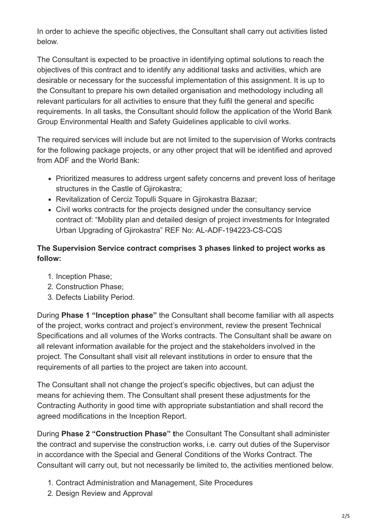In order to achieve the specific objectives, the Consultant shall carry out activities listed below.

The Consultant is expected to be proactive in identifying optimal solutions to reach the objectives of this contract and to identify any additional tasks and activities, which are desirable or necessary for the successful implementation of this assignment. It is up to the Consultant to prepare his own detailed organisation and methodology including all relevant particulars for all activities to ensure that they fulfil the general and specific requirements. In all tasks, the Consultant should follow the application of the World Bank Group Environmental Health and Safety Guidelines applicable to civil works.

The required services will include but are not limited to the supervision of Works contracts for the following package projects, or any other project that will be identified and aproved from ADF and the World Bank:

- Prioritized measures to address urgent safety concerns and prevent loss of heritage structures in the Castle of Gjirokastra;
- Revitalization of Cerciz Topulli Square in Giirokastra Bazaar;
- Civil works contracts for the projects designed under the consultancy service contract of: "Mobility plan and detailed design of project investments for Integrated Urban Upgrading of Gjirokastra" REF No: AL-ADF-194223-CS-CQS

## **The Supervision Service contract comprises 3 phases linked to project works as follow:**

- 1. Inception Phase;
- 2. Construction Phase;
- 3. Defects Liability Period.

During **Phase 1 "Inception phase"** the Consultant shall become familiar with all aspects of the project, works contract and project's environment, review the present Technical Specifications and all volumes of the Works contracts. The Consultant shall be aware on all relevant information available for the project and the stakeholders involved in the project. The Consultant shall visit all relevant institutions in order to ensure that the requirements of all parties to the project are taken into account.

The Consultant shall not change the project's specific objectives, but can adjust the means for achieving them. The Consultant shall present these adjustments for the Contracting Authority in good time with appropriate substantiation and shall record the agreed modifications in the Inception Report.

During **Phase 2 "Construction Phase" t**he Consultant The Consultant shall administer the contract and supervise the construction works, i.e. carry out duties of the Supervisor in accordance with the Special and General Conditions of the Works Contract. The Consultant will carry out, but not necessarily be limited to, the activities mentioned below.

- 1. Contract Administration and Management, Site Procedures
- 2. Design Review and Approval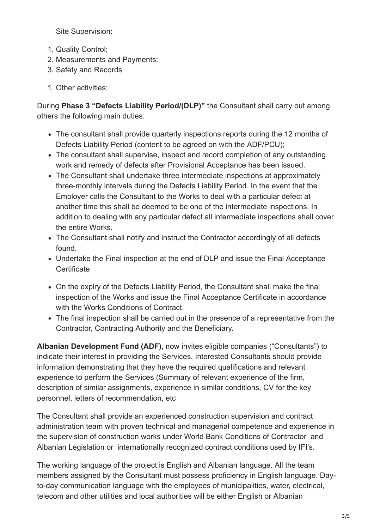Site Supervision:

- 1. Quality Control;
- 2. Measurements and Payments:
- 3. Safety and Records
- 1. Other activities;

During **Phase 3 "Defects Liability Period/(DLP)"** the Consultant shall carry out among others the following main duties:

- The consultant shall provide quarterly inspections reports during the 12 months of Defects Liability Period (content to be agreed on with the ADF/PCU);
- The consultant shall supervise, inspect and record completion of any outstanding work and remedy of defects after Provisional Acceptance has been issued.
- The Consultant shall undertake three intermediate inspections at approximately three-monthly intervals during the Defects Liability Period. In the event that the Employer calls the Consultant to the Works to deal with a particular defect at another time this shall be deemed to be one of the intermediate inspections. In addition to dealing with any particular defect all intermediate inspections shall cover the entire Works.
- The Consultant shall notify and instruct the Contractor accordingly of all defects found.
- Undertake the Final inspection at the end of DLP and issue the Final Acceptance **Certificate**
- On the expiry of the Defects Liability Period, the Consultant shall make the final inspection of the Works and issue the Final Acceptance Certificate in accordance with the Works Conditions of Contract.
- The final inspection shall be carried out in the presence of a representative from the Contractor, Contracting Authority and the Beneficiary.

**Albanian Development Fund (ADF)**, now invites eligible companies ("Consultants") to indicate their interest in providing the Services. Interested Consultants should provide information demonstrating that they have the required qualifications and relevant experience to perform the Services (Summary of relevant experience of the firm, description of similar assignments, experience in similar conditions, CV for the key personnel, letters of recommendation, etc

The Consultant shall provide an experienced construction supervision and contract administration team with proven technical and managerial competence and experience in the supervision of construction works under World Bank Conditions of Contractor and Albanian Legislation or internationally recognized contract conditions used by IFI's.

The working language of the project is English and Albanian language. All the team members assigned by the Consultant must possess proficiency in English language. Dayto-day communication language with the employees of municipalities, water, electrical, telecom and other utilities and local authorities will be either English or Albanian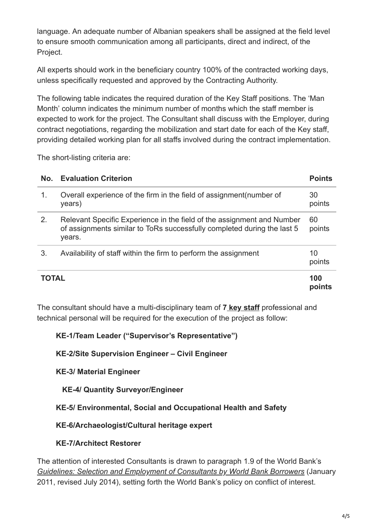language. An adequate number of Albanian speakers shall be assigned at the field level to ensure smooth communication among all participants, direct and indirect, of the Project.

All experts should work in the beneficiary country 100% of the contracted working days, unless specifically requested and approved by the Contracting Authority.

The following table indicates the required duration of the Key Staff positions. The 'Man Month' column indicates the minimum number of months which the staff member is expected to work for the project. The Consultant shall discuss with the Employer, during contract negotiations, regarding the mobilization and start date for each of the Key staff, providing detailed working plan for all staffs involved during the contract implementation.

The short-listing criteria are:

| No.          | <b>Evaluation Criterion</b>                                                                                                                                 | <b>Points</b> |
|--------------|-------------------------------------------------------------------------------------------------------------------------------------------------------------|---------------|
| 1.           | Overall experience of the firm in the field of assignment (number of<br>years)                                                                              | 30<br>points  |
| 2.           | Relevant Specific Experience in the field of the assignment and Number<br>of assignments similar to ToRs successfully completed during the last 5<br>years. | 60<br>points  |
| 3.           | Availability of staff within the firm to perform the assignment                                                                                             | 10<br>points  |
| <b>TOTAL</b> |                                                                                                                                                             | 100<br>points |

The consultant should have a multi-disciplinary team of **7 key staff** professional and technical personal will be required for the execution of the project as follow:

**KE-1/Team Leader ("Supervisor's Representative")**

**KE-2/Site Supervision Engineer – Civil Engineer**

**KE-3/ Material Engineer**

 **KE-4/ Quantity Surveyor/Engineer**

**KE-5/ Environmental, Social and Occupational Health and Safety**

**KE-6/Archaeologist/Cultural heritage expert**

**KE-7/Architect Restorer**

The attention of interested Consultants is drawn to paragraph 1.9 of the World Bank's *[Guidelines: Selection and Employment of Consultants by World Bank Borrowers](http://www.worldbank.org/html/opr/consult/contents.html)* (January 2011, revised July 2014), setting forth the World Bank's policy on conflict of interest.